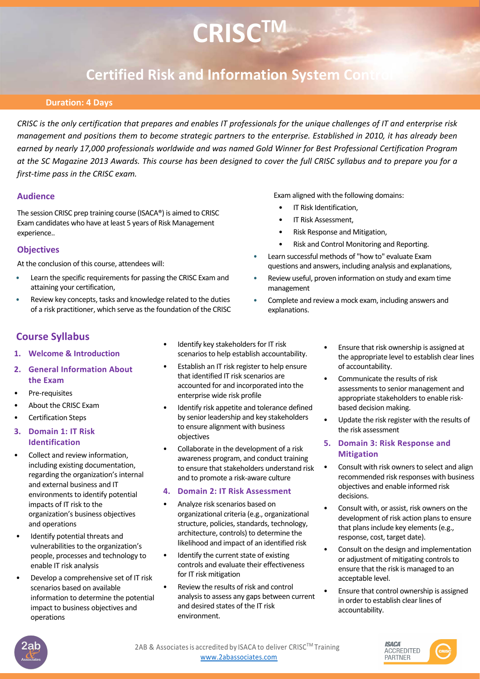# **CRISCTM**

## **Certified Risk and Information System Con**

#### **Duration: 4 Days**

*CRISC is the only certification that prepares and enables IT professionals for the unique challenges of IT and enterprise risk management and positions them to become strategic partners to the enterprise. Established in 2010, it has already been earned by nearly 17,000 professionals worldwide and was named Gold Winner for Best Professional Certification Program at the SC Magazine 2013 Awards. This course has been designed to cover the full CRISC syllabus and to prepare you for a first-time pass in the CRISC exam.*

#### **Audience**

The session CRISC prep training course (ISACA®) is aimed to CRISC Exam candidates who have at least 5 years of Risk Management experience..

#### **Objectives**

At the conclusion of this course, attendees will:

- Learn the specific requirements for passing the CRISC Exam and attaining your certification,
- Review key concepts, tasks and knowledge related to the duties of a risk practitioner, which serve as the foundation of the CRISC

#### Exam aligned with the following domains:

- IT Risk Identification,
- IT Risk Assessment,
- Risk Response and Mitigation,
- Risk and Control Monitoring and Reporting.
- Learn successful methods of "how to" evaluate Exam questions and answers, including analysis and explanations,
- Review useful, proven information on study and exam time management
- Complete and review a mock exam, including answers and explanations.

### **Course Syllabus**

- **1. Welcome & Introduction**
- **2. General Information About the Exam**
- Pre-requisites
- About the CRISC Exam
- Certification Steps

#### **3. Domain 1: IT Risk Identification**

- Collect and review information, including existing documentation, regarding the organization's internal and external business and IT environments to identify potential impacts of IT risk to the organization's business objectives and operations
- Identify potential threats and vulnerabilities to the organization's people, processes and technology to enable IT risk analysis
- Develop a comprehensive set of IT risk scenarios based on available information to determine the potential impact to business objectives and operations
- Identify key stakeholders for IT risk scenarios to help establish accountability.
- Establish an IT risk register to help ensure that identified IT risk scenarios are accounted for and incorporated into the enterprise wide risk profile
- Identify risk appetite and tolerance defined by senior leadership and key stakeholders to ensure alignment with business objectives
- Collaborate in the development of a risk awareness program, and conduct training to ensure that stakeholders understand risk and to promote a risk-aware culture

#### **4. Domain 2: IT Risk Assessment**

- Analyze risk scenarios based on organizational criteria (e.g., organizational structure, policies, standards, technology, architecture, controls) to determine the likelihood and impact of an identified risk
- Identify the current state of existing controls and evaluate their effectiveness for IT risk mitigation
- Review the results of risk and control analysis to assess any gaps between current and desired states of the IT risk environment.
- Ensure that risk ownership is assigned at the appropriate level to establish clear lines of accountability.
- Communicate the results of risk assessments to senior management and appropriate stakeholders to enable riskbased decision making.
- Update the risk register with the results of the risk assessment
- **5. Domain 3: Risk Response and Mitigation**
- Consult with risk owners to select and align recommended risk responses with business objectives and enable informed risk decisions.
- Consult with, or assist, risk owners on the development of risk action plans to ensure that plans include key elements (e.g., response, cost, target date).
- Consult on the design and implementation or adjustment of mitigating controls to ensure that the risk is managed to an acceptable level.
- Ensure that control ownership is assigned in order to establish clear lines of accountability.